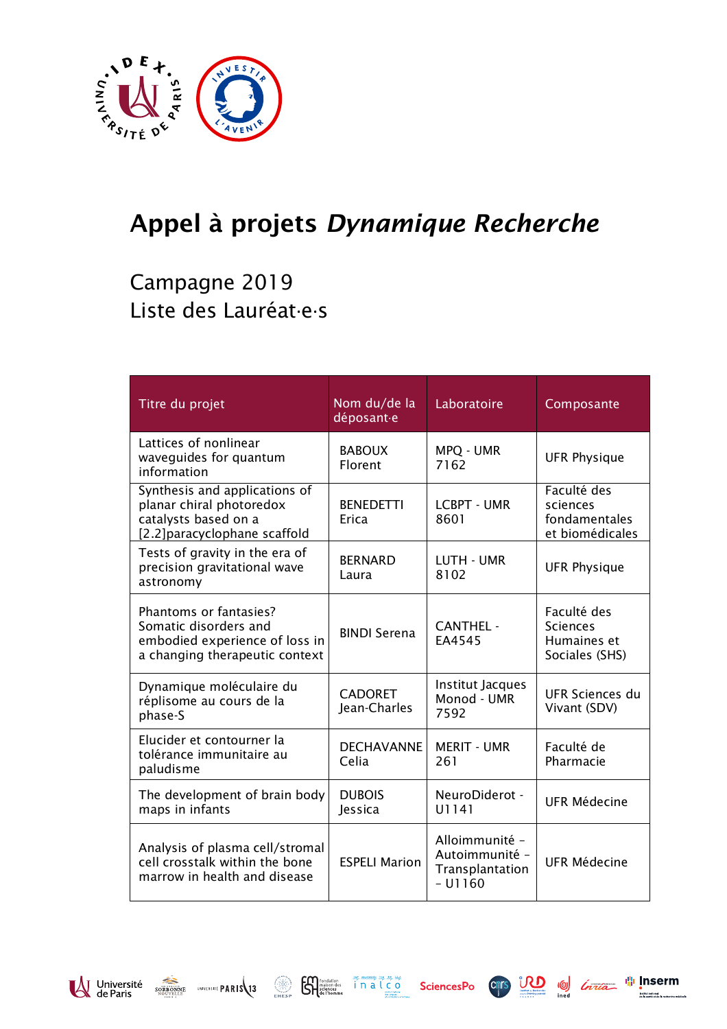

## Appel à projets *Dynamique Recherche*

## Campagne 2019 Liste des Lauréat·e·s

| Titre du projet                                                                                                     | Nom du/de la<br>déposant-e     | Laboratoire                                                      | Composante                                                      |
|---------------------------------------------------------------------------------------------------------------------|--------------------------------|------------------------------------------------------------------|-----------------------------------------------------------------|
| Lattices of nonlinear<br>waveguides for quantum<br>information                                                      | <b>BABOUX</b><br>Florent       | MPQ - UMR<br>7162                                                | <b>UFR Physique</b>                                             |
| Synthesis and applications of<br>planar chiral photoredox<br>catalysts based on a<br>[2.2]paracyclophane scaffold   | <b>BENEDETTI</b><br>Erica      | <b>LCBPT - UMR</b><br>8601                                       | Faculté des<br>sciences<br>fondamentales<br>et biomédicales     |
| Tests of gravity in the era of<br>precision gravitational wave<br>astronomy                                         | <b>BERNARD</b><br>Laura        | LUTH - UMR<br>8102                                               | <b>UFR Physique</b>                                             |
| Phantoms or fantasies?<br>Somatic disorders and<br>embodied experience of loss in<br>a changing therapeutic context | <b>BINDI Serena</b>            | <b>CANTHEL -</b><br><b>FA4545</b>                                | Faculté des<br><b>Sciences</b><br>Humaines et<br>Sociales (SHS) |
| Dynamique moléculaire du<br>réplisome au cours de la<br>phase-S                                                     | <b>CADORET</b><br>Jean-Charles | Institut Jacques<br>Monod - UMR<br>7592                          | UFR Sciences du<br>Vivant (SDV)                                 |
| Elucider et contourner la<br>tolérance immunitaire au<br>paludisme                                                  | <b>DECHAVANNE</b><br>Celia     | <b>MERIT - UMR</b><br>261                                        | Faculté de<br>Pharmacie                                         |
| The development of brain body<br>maps in infants                                                                    | <b>DUBOIS</b><br>Jessica       | NeuroDiderot -<br>U1141                                          | <b>UFR Médecine</b>                                             |
| Analysis of plasma cell/stromal<br>cell crosstalk within the bone<br>marrow in health and disease                   | <b>ESPELI Marion</b>           | Alloimmunité -<br>Autoimmunité -<br>Transplantation<br>$-$ U1160 | <b>UFR Médecine</b>                                             |